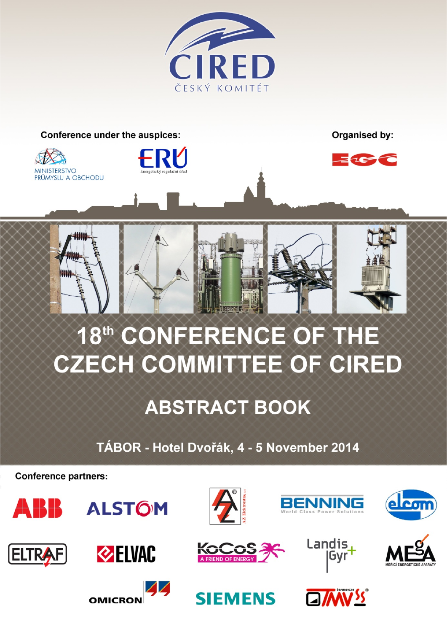

### Conference under the auspices:





Organised by:





# 18th CONFERENCE OF THE **CZECH COMMITTEE OF CIRED**

## **ABSTRACT BOOK**

## TÁBOR - Hotel Dvořák, 4 - 5 November 2014

**Conference partners:** 



















Landis







Gyr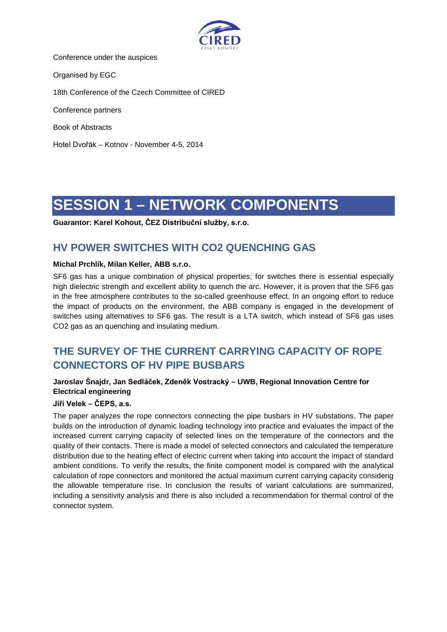

Conference under the auspices Organised by EGC 18th Conference of the Czech Committee of CIRED Conference partners Book of Abstracts Hotel Dvořák – Kotnov - November 4-5, 2014

## **SESSION 1 – NETWORK COMPONENTS**

**Guarantor: Karel Kohout, ČEZ Distribuční služby, s.r.o.**

### **HV POWER SWITCHES WITH CO2 QUENCHING GAS**

#### **Michal Prchlík, Milan Keller, ABB s.r.o.**

SF6 gas has a unique combination of physical properties; for switches there is essential especially high dielectric strength and excellent ability to quench the arc. However, it is proven that the SF6 gas in the free atmosphere contributes to the so-called greenhouse effect. In an ongoing effort to reduce the impact of products on the environment, the ABB company is engaged in the development of switches using alternatives to SF6 gas. The result is a LTA switch, which instead of SF6 gas uses CO2 gas as an quenching and insulating medium.

### **THE SURVEY OF THE CURRENT CARRYING CAPACITY OF ROPE CONNECTORS OF HV PIPE BUSBARS**

### **Jaroslav Šnajdr, Jan Sedláček, Zdeněk Vostracký – UWB, Regional Innovation Centre for Electrical engineering**

#### **Jiří Velek – ČEPS, a.s.**

The paper analyzes the rope connectors connecting the pipe busbars in HV substations. The paper builds on the introduction of dynamic loading technology into practice and evaluates the impact of the increased current carrying capacity of selected lines on the temperature of the connectors and the quality of their contacts. There is made a model of selected connectors and calculated the temperature distribution due to the heating effect of electric current when taking into account the impact of standard ambient conditions. To verify the results, the finite component model is compared with the analytical calculation of rope connectors and monitored the actual maximum current carrying capacity considerig the allowable temperature rise. In conclusion the results of variant calculations are summarized, including a sensitivity analysis and there is also included a recommendation for thermal control of the connector system.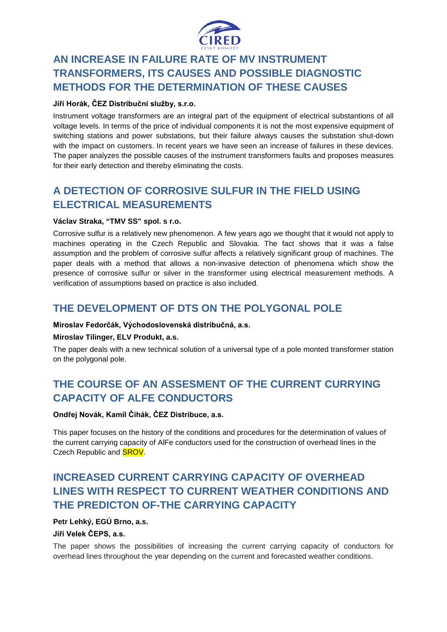

### **AN INCREASE IN FAILURE RATE OF MV INSTRUMENT TRANSFORMERS, ITS CAUSES AND POSSIBLE DIAGNOSTIC METHODS FOR THE DETERMINATION OF THESE CAUSES**

#### **Jiří Horák, ČEZ Distribuční služby, s.r.o.**

Instrument voltage transformers are an integral part of the equipment of electrical substantions of all voltage levels. In terms of the price of individual components it is not the most expensive equipment of switching stations and power substations, but their failure always causes the substation shut-down with the impact on customers. In recent years we have seen an increase of failures in these devices. The paper analyzes the possible causes of the instrument transformers faults and proposes measures for their early detection and thereby eliminating the costs.

### **A DETECTION OF CORROSIVE SULFUR IN THE FIELD USING ELECTRICAL MEASUREMENTS**

#### **Václav Straka, "TMV SS" spol. s r.o.**

Corrosive sulfur is a relatively new phenomenon. A few years ago we thought that it would not apply to machines operating in the Czech Republic and Slovakia. The fact shows that it was a false assumption and the problem of corrosive sulfur affects a relatively significant group of machines. The paper deals with a method that allows a non-invasive detection of phenomena which show the presence of corrosive sulfur or silver in the transformer using electrical measurement methods. A verification of assumptions based on practice is also included.

### **THE DEVELOPMENT OF DTS ON THE POLYGONAL POLE**

#### **Miroslav Fedorčák, Východoslovenská distribučná, a.s.**

#### **Miroslav Tilinger, ELV Produkt, a.s.**

The paper deals with a new technical solution of a universal type of a pole monted transformer station on the polygonal pole.

### **THE COURSE OF AN ASSESMENT OF THE CURRENT CURRYING CAPACITY OF ALFE CONDUCTORS**

#### **Ondřej Novák, Kamil Čihák, ČEZ Distribuce, a.s.**

This paper focuses on the history of the conditions and procedures for the determination of values of the current carrying capacity of AlFe conductors used for the construction of overhead lines in the Czech Republic and **SROV**.

### **INCREASED CURRENT CARRYING CAPACITY OF OVERHEAD LINES WITH RESPECT TO CURRENT WEATHER CONDITIONS AND THE PREDICTON OF-THE CARRYING CAPACITY**

### **Petr Lehký, EGÚ Brno, a.s.**

#### **Jiří Velek ČEPS, a.s.**

The paper shows the possibilities of increasing the current carrying capacity of conductors for overhead lines throughout the year depending on the current and forecasted weather conditions.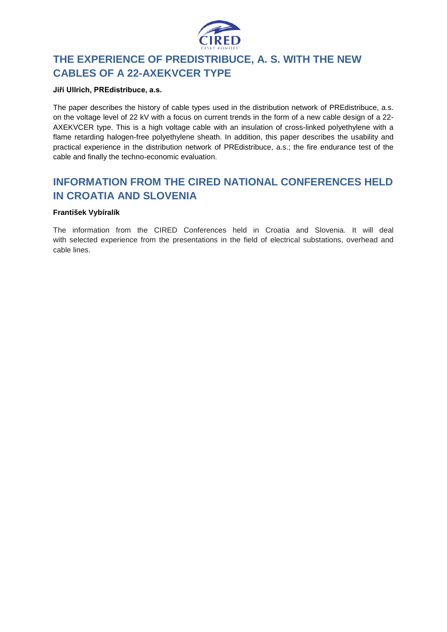

### **THE EXPERIENCE OF PREDISTRIBUCE, A. S. WITH THE NEW CABLES OF A 22-AXEKVCER TYPE**

#### **Jiří Ullrich, PREdistribuce, a.s.**

The paper describes the history of cable types used in the distribution network of PREdistribuce, a.s. on the voltage level of 22 kV with a focus on current trends in the form of a new cable design of a 22- AXEKVCER type. This is a high voltage cable with an insulation of cross-linked polyethylene with a flame retarding halogen-free polyethylene sheath. In addition, this paper describes the usability and practical experience in the distribution network of PREdistribuce, a.s.; the fire endurance test of the cable and finally the techno-economic evaluation.

### **INFORMATION FROM THE CIRED NATIONAL CONFERENCES HELD IN CROATIA AND SLOVENIA**

#### **František Vybíralík**

The information from the CIRED Conferences held in Croatia and Slovenia. It will deal with selected experience from the presentations in the field of electrical substations, overhead and cable lines.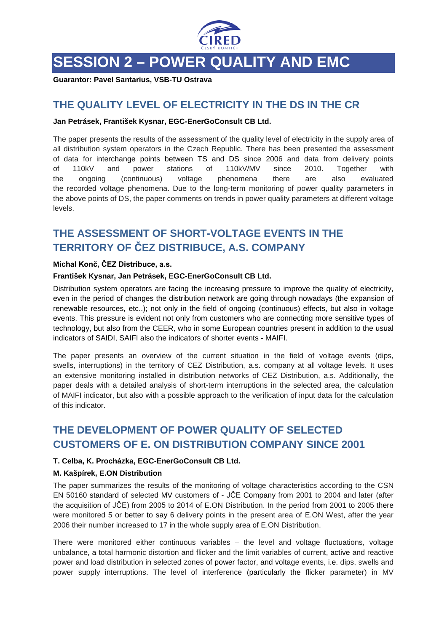

## **SESSION 2 – POWER QUALITY AND EMC**

**Guarantor: Pavel Santarius, VSB-TU Ostrava**

### **THE QUALITY LEVEL OF ELECTRICITY IN THE DS IN THE CR**

#### **Jan Petrásek, František Kysnar, EGC-EnerGoConsult CB Ltd.**

The paper presents the results of the assessment of the quality level of electricity in the supply area of all distribution system operators in the Czech Republic. There has been presented the assessment of data for interchange points between TS and DS since 2006 and data from delivery points of 110kV and power stations of 110kV/MV since 2010. Together with the ongoing (continuous) voltage phenomena there are also evaluated the recorded voltage phenomena. Due to the long-term monitoring of power quality parameters in the above points of DS, the paper comments on trends in power quality parameters at different voltage levels.

### **THE ASSESSMENT OF SHORT-VOLTAGE EVENTS IN THE TERRITORY OF ČEZ DISTRIBUCE, A.S. COMPANY**

#### **Michal Konč, ČEZ Distribuce, a.s.**

#### **František Kysnar, Jan Petrásek, EGC-EnerGoConsult CB Ltd.**

Distribution system operators are facing the increasing pressure to improve the quality of electricity, even in the period of changes the distribution network are going through nowadays (the expansion of renewable resources, etc..); not only in the field of ongoing (continuous) effects, but also in voltage events. This pressure is evident not only from customers who are connecting more sensitive types of technology, but also from the CEER, who in some European countries present in addition to the usual indicators of SAIDI, SAIFI also the indicators of shorter events - MAIFI.

The paper presents an overview of the current situation in the field of voltage events (dips, swells, interruptions) in the territory of CEZ Distribution, a.s. company at all voltage levels. It uses an extensive monitoring installed in distribution networks of CEZ Distribution, a.s. Additionally, the paper deals with a detailed analysis of short-term interruptions in the selected area, the calculation of MAIFI indicator, but also with a possible approach to the verification of input data for the calculation of this indicator.

### **THE DEVELOPMENT OF POWER QUALITY OF SELECTED CUSTOMERS OF E. ON DISTRIBUTION COMPANY SINCE 2001**

#### **T. Celba, K. Procházka, EGC-EnerGoConsult CB Ltd.**

#### **M. Kašpírek, E.ON Distribution**

The paper summarizes the results of the monitoring of voltage characteristics according to the CSN EN 50160 standard of selected MV customers of - JČE Company from 2001 to 2004 and later (after the acquisition of JČE) from 2005 to 2014 of E.ON Distribution. In the period from 2001 to 2005 there were monitored 5 or better to say 6 delivery points in the present area of E.ON West, after the year 2006 their number increased to 17 in the whole supply area of E.ON Distribution.

There were monitored either continuous variables – the level and voltage fluctuations, voltage unbalance, a total harmonic distortion and flicker and the limit variables of current, active and reactive power and load distribution in selected zones of power factor, and voltage events, i.e. dips, swells and power supply interruptions. The level of interference (particularly the flicker parameter) in MV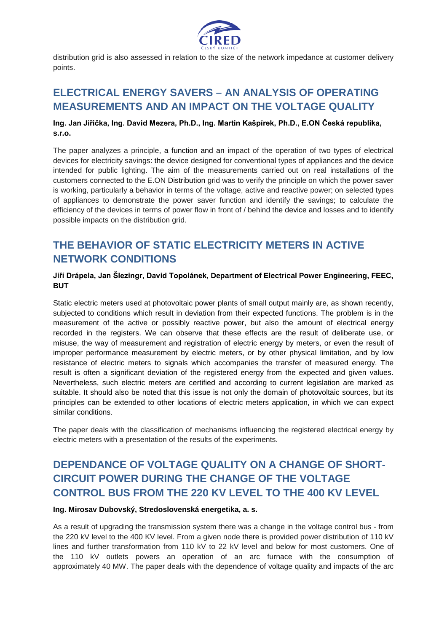

distribution grid is also assessed in relation to the size of the network impedance at customer delivery points.

### **ELECTRICAL ENERGY SAVERS – AN ANALYSIS OF OPERATING MEASUREMENTS AND AN IMPACT ON THE VOLTAGE QUALITY**

**Ing. Jan Jiřička, Ing. David Mezera, Ph.D., Ing. Martin Kašpírek, Ph.D., E.ON Česká republika, s.r.o.**

The paper analyzes a principle, a function and an impact of the operation of two types of electrical devices for electricity savings: the device designed for conventional types of appliances and the device intended for public lighting. The aim of the measurements carried out on real installations of the customers connected to the E.ON Distribution grid was to verify the principle on which the power saver is working, particularly a behavior in terms of the voltage, active and reactive power; on selected types of appliances to demonstrate the power saver function and identify the savings; to calculate the efficiency of the devices in terms of power flow in front of / behind the device and losses and to identify possible impacts on the distribution grid.

### **THE BEHAVIOR OF STATIC ELECTRICITY METERS IN ACTIVE NETWORK CONDITIONS**

#### **Jiří Drápela, Jan Šlezingr, David Topolánek, Department of Electrical Power Engineering, FEEC, BUT**

Static electric meters used at photovoltaic power plants of small output mainly are, as shown recently, subjected to conditions which result in deviation from their expected functions. The problem is in the measurement of the active or possibly reactive power, but also the amount of electrical energy recorded in the registers. We can observe that these effects are the result of deliberate use, or misuse, the way of measurement and registration of electric energy by meters, or even the result of improper performance measurement by electric meters, or by other physical limitation, and by low resistance of electric meters to signals which accompanies the transfer of measured energy. The result is often a significant deviation of the registered energy from the expected and given values. Nevertheless, such electric meters are certified and according to current legislation are marked as suitable. It should also be noted that this issue is not only the domain of photovoltaic sources, but its principles can be extended to other locations of electric meters application, in which we can expect similar conditions.

The paper deals with the classification of mechanisms influencing the registered electrical energy by electric meters with a presentation of the results of the experiments.

### **DEPENDANCE OF VOLTAGE QUALITY ON A CHANGE OF SHORT-CIRCUIT POWER DURING THE CHANGE OF THE VOLTAGE CONTROL BUS FROM THE 220 KV LEVEL TO THE 400 KV LEVEL**

#### **Ing. Mirosav Dubovský, Stredoslovenská energetika, a. s.**

As a result of upgrading the transmission system there was a change in the voltage control bus - from the 220 kV level to the 400 KV level. From a given node there is provided power distribution of 110 kV lines and further transformation from 110 kV to 22 kV level and below for most customers. One of the 110 kV outlets powers an operation of an arc furnace with the consumption of approximately 40 MW. The paper deals with the dependence of voltage quality and impacts of the arc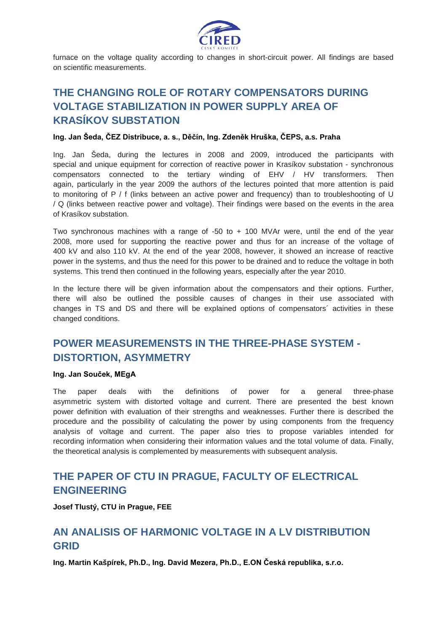

furnace on the voltage quality according to changes in short-circuit power. All findings are based on scientific measurements.

### **THE CHANGING ROLE OF ROTARY COMPENSATORS DURING VOLTAGE STABILIZATION IN POWER SUPPLY AREA OF KRASÍKOV SUBSTATION**

#### **Ing. Jan Šeda, ČEZ Distribuce, a. s., Děčín, Ing. Zdeněk Hruška, ČEPS, a.s. Praha**

Ing. Jan Šeda, during the lectures in 2008 and 2009, introduced the participants with special and unique equipment for correction of reactive power in Krasíkov substation - synchronous compensators connected to the tertiary winding of EHV / HV transformers. Then again, particularly in the year 2009 the authors of the lectures pointed that more attention is paid to monitoring of P / f (links between an active power and frequency) than to troubleshooting of U / Q (links between reactive power and voltage). Their findings were based on the events in the area of Krasíkov substation.

Two synchronous machines with a range of  $-50$  to  $+100$  MVAr were, until the end of the year 2008, more used for supporting the reactive power and thus for an increase of the voltage of 400 kV and also 110 kV. At the end of the year 2008, however, it showed an increase of reactive power in the systems, and thus the need for this power to be drained and to reduce the voltage in both systems. This trend then continued in the following years, especially after the year 2010.

In the lecture there will be given information about the compensators and their options. Further, there will also be outlined the possible causes of changes in their use associated with changes in TS and DS and there will be explained options of compensators´ activities in these changed conditions.

### **POWER MEASUREMENSTS IN THE THREE-PHASE SYSTEM - DISTORTION, ASYMMETRY**

#### **Ing. Jan Souček, MEgA**

The paper deals with the definitions of power for a general three-phase asymmetric system with distorted voltage and current. There are presented the best known power definition with evaluation of their strengths and weaknesses. Further there is described the procedure and the possibility of calculating the power by using components from the frequency analysis of voltage and current. The paper also tries to propose variables intended for recording information when considering their information values and the total volume of data. Finally, the theoretical analysis is complemented by measurements with subsequent analysis.

### **THE PAPER OF CTU IN PRAGUE, FACULTY OF ELECTRICAL ENGINEERING**

**Josef Tlustý, CTU in Prague, FEE**

### **AN ANALISIS OF HARMONIC VOLTAGE IN A LV DISTRIBUTION GRID**

**Ing. Martin Kašpírek, Ph.D., Ing. David Mezera, Ph.D., E.ON Česká republika, s.r.o.**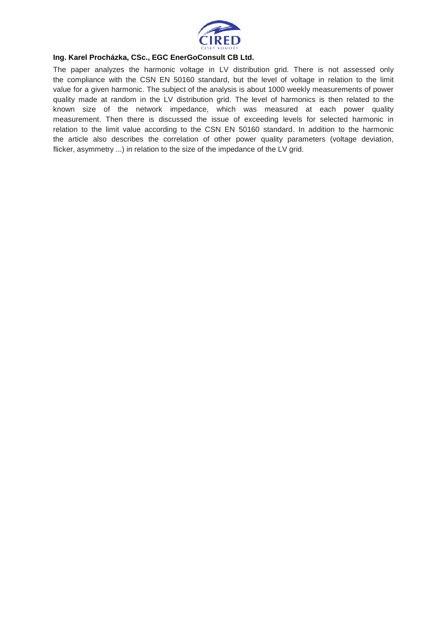

#### **Ing. Karel Procházka, CSc., EGC EnerGoConsult CB Ltd.**

The paper analyzes the harmonic voltage in LV distribution grid. There is not assessed only the compliance with the CSN EN 50160 standard, but the level of voltage in relation to the limit value for a given harmonic. The subject of the analysis is about 1000 weekly measurements of power quality made at random in the LV distribution grid. The level of harmonics is then related to the known size of the network impedance, which was measured at each power quality measurement. Then there is discussed the issue of exceeding levels for selected harmonic in relation to the limit value according to the CSN EN 50160 standard. In addition to the harmonic the article also describes the correlation of other power quality parameters (voltage deviation, flicker, asymmetry ...) in relation to the size of the impedance of the LV grid.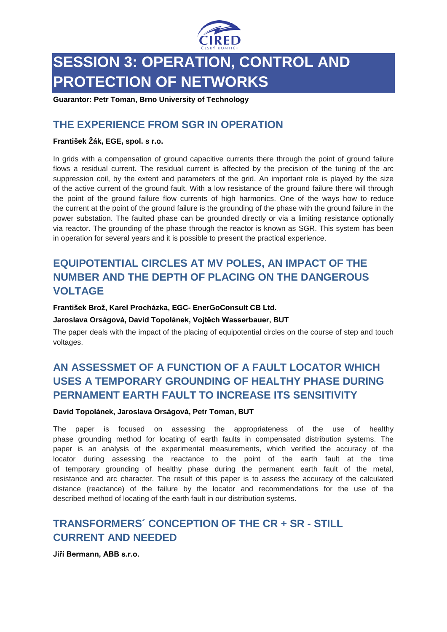

## **SESSION 3: OPERATION, CONTROL AND PROTECTION OF NETWORKS**

**Guarantor: Petr Toman, Brno University of Technology** 

### **THE EXPERIENCE FROM SGR IN OPERATION**

#### **František Žák, EGE, spol. s r.o.**

In grids with a compensation of ground capacitive currents there through the point of ground failure flows a residual current. The residual current is affected by the precision of the tuning of the arc suppression coil, by the extent and parameters of the grid. An important role is played by the size of the active current of the ground fault. With a low resistance of the ground failure there will through the point of the ground failure flow currents of high harmonics. One of the ways how to reduce the current at the point of the ground failure is the grounding of the phase with the ground failure in the power substation. The faulted phase can be grounded directly or via a limiting resistance optionally via reactor. The grounding of the phase through the reactor is known as SGR. This system has been in operation for several years and it is possible to present the practical experience.

### **EQUIPOTENTIAL CIRCLES AT MV POLES, AN IMPACT OF THE NUMBER AND THE DEPTH OF PLACING ON THE DANGEROUS VOLTAGE**

### **František Brož, Karel Procházka, EGC- EnerGoConsult CB Ltd.**

#### **Jaroslava Orságová, David Topolánek, Vojtěch Wasserbauer, BUT**

The paper deals with the impact of the placing of equipotential circles on the course of step and touch voltages.

### **AN ASSESSMET OF A FUNCTION OF A FAULT LOCATOR WHICH USES A TEMPORARY GROUNDING OF HEALTHY PHASE DURING PERNAMENT EARTH FAULT TO INCREASE ITS SENSITIVITY**

#### **David Topolánek, Jaroslava Orságová, Petr Toman, BUT**

The paper is focused on assessing the appropriateness of the use of healthy phase grounding method for locating of earth faults in compensated distribution systems. The paper is an analysis of the experimental measurements, which verified the accuracy of the locator during assessing the reactance to the point of the earth fault at the time of temporary grounding of healthy phase during the permanent earth fault of the metal, resistance and arc character. The result of this paper is to assess the accuracy of the calculated distance (reactance) of the failure by the locator and recommendations for the use of the described method of locating of the earth fault in our distribution systems.

### **TRANSFORMERS´ CONCEPTION OF THE CR + SR - STILL CURRENT AND NEEDED**

**Jiří Bermann, ABB s.r.o.**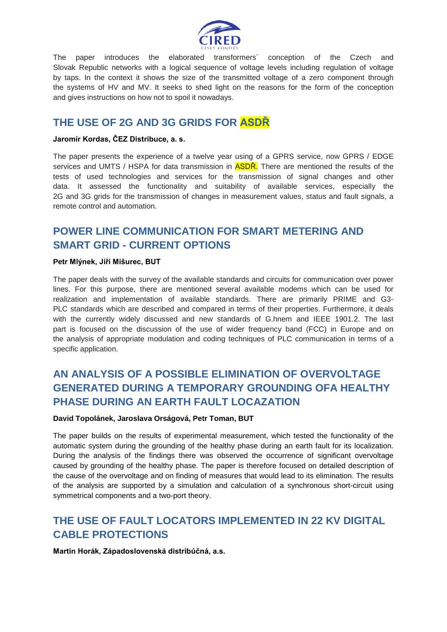

The paper introduces the elaborated transformers´ conception of the Czech and Slovak Republic networks with a logical sequence of voltage levels including regulation of voltage by taps. In the context it shows the size of the transmitted voltage of a zero component through the systems of HV and MV. It seeks to shed light on the reasons for the form of the conception and gives instructions on how not to spoil it nowadays.

### **THE USE OF 2G AND 3G GRIDS FOR ASDŘ**

#### **Jaromír Kordas, ČEZ Distribuce, a. s.**

The paper presents the experience of a twelve year using of a GPRS service, now GPRS / EDGE services and UMTS / HSPA for data transmission in **ASDR.** There are mentioned the results of the tests of used technologies and services for the transmission of signal changes and other data. It assessed the functionality and suitability of available services, especially the 2G and 3G grids for the transmission of changes in measurement values, status and fault signals, a remote control and automation.

### **POWER LINE COMMUNICATION FOR SMART METERING AND SMART GRID - CURRENT OPTIONS**

#### **Petr Mlýnek, Jiří Mišurec, BUT**

The paper deals with the survey of the available standards and circuits for communication over power lines. For this purpose, there are mentioned several available modems which can be used for realization and implementation of available standards. There are primarily PRIME and G3- PLC standards which are described and compared in terms of their properties. Furthermore, it deals with the currently widely discussed and new standards of G.hnem and IEEE 1901.2. The last part is focused on the discussion of the use of wider frequency band (FCC) in Europe and on the analysis of appropriate modulation and coding techniques of PLC communication in terms of a specific application.

### **AN ANALYSIS OF A POSSIBLE ELIMINATION OF OVERVOLTAGE GENERATED DURING A TEMPORARY GROUNDING OFA HEALTHY PHASE DURING AN EARTH FAULT LOCAZATION**

#### **David Topolánek, Jaroslava Orságová, Petr Toman, BUT**

The paper builds on the results of experimental measurement, which tested the functionality of the automatic system during the grounding of the healthy phase during an earth fault for its localization. During the analysis of the findings there was observed the occurrence of significant overvoltage caused by grounding of the healthy phase. The paper is therefore focused on detailed description of the cause of the overvoltage and on finding of measures that would lead to its elimination. The results of the analysis are supported by a simulation and calculation of a synchronous short-circuit using symmetrical components and a two-port theory.

### **THE USE OF FAULT LOCATORS IMPLEMENTED IN 22 KV DIGITAL CABLE PROTECTIONS**

#### **Martin Horák, Západoslovenská distribúčná, a.s.**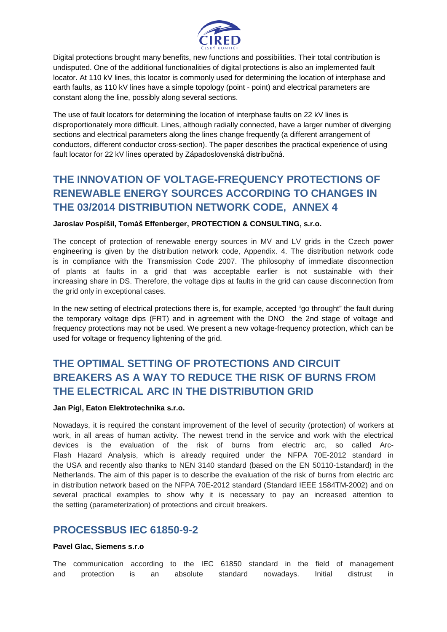

Digital protections brought many benefits, new functions and possibilities. Their total contribution is undisputed. One of the additional functionalities of digital protections is also an implemented fault locator. At 110 kV lines, this locator is commonly used for determining the location of interphase and earth faults, as 110 kV lines have a simple topology (point - point) and electrical parameters are constant along the line, possibly along several sections.

The use of fault locators for determining the location of interphase faults on 22 kV lines is disproportionately more difficult. Lines, although radially connected, have a larger number of diverging sections and electrical parameters along the lines change frequently (a different arrangement of conductors, different conductor cross-section). The paper describes the practical experience of using fault locator for 22 kV lines operated by Západoslovenská distribučná.

### **THE INNOVATION OF VOLTAGE-FREQUENCY PROTECTIONS OF RENEWABLE ENERGY SOURCES ACCORDING TO CHANGES IN THE 03/2014 DISTRIBUTION NETWORK CODE, ANNEX 4**

#### **Jaroslav Pospíšil, Tomáš Effenberger, PROTECTION & CONSULTING, s.r.o.**

The concept of protection of renewable energy sources in MV and LV grids in the Czech power engineering is given by the distribution network code, Appendix. 4. The distribution network code is in compliance with the Transmission Code 2007. The philosophy of immediate disconnection of plants at faults in a grid that was acceptable earlier is not sustainable with their increasing share in DS. Therefore, the voltage dips at faults in the grid can cause disconnection from the grid only in exceptional cases.

In the new setting of electrical protections there is, for example, accepted "go throught" the fault during the temporary voltage dips (FRT) and in agreement with the DNO the 2nd stage of voltage and frequency protections may not be used. We present a new voltage-frequency protection, which can be used for voltage or frequency lightening of the grid.

### **THE OPTIMAL SETTING OF PROTECTIONS AND CIRCUIT BREAKERS AS A WAY TO REDUCE THE RISK OF BURNS FROM THE ELECTRICAL ARC IN THE DISTRIBUTION GRID**

#### **Jan Pígl, Eaton Elektrotechnika s.r.o.**

Nowadays, it is required the constant improvement of the level of security (protection) of workers at work, in all areas of human activity. The newest trend in the service and work with the electrical devices is the evaluation of the risk of burns from electric arc, so called Arc-Flash Hazard Analysis, which is already required under the NFPA 70E-2012 standard in the USA and recently also thanks to NEN 3140 standard (based on the EN 50110-1standard) in the Netherlands. The aim of this paper is to describe the evaluation of the risk of burns from electric arc in distribution network based on the NFPA 70E-2012 standard (Standard IEEE 1584TM-2002) and on several practical examples to show why it is necessary to pay an increased attention to the setting (parameterization) of protections and circuit breakers.

### **PROCESSBUS IEC 61850-9-2**

#### **Pavel Glac, Siemens s.r.o**

The communication according to the IEC 61850 standard in the field of management and protection is an absolute standard nowadays. Initial distrust in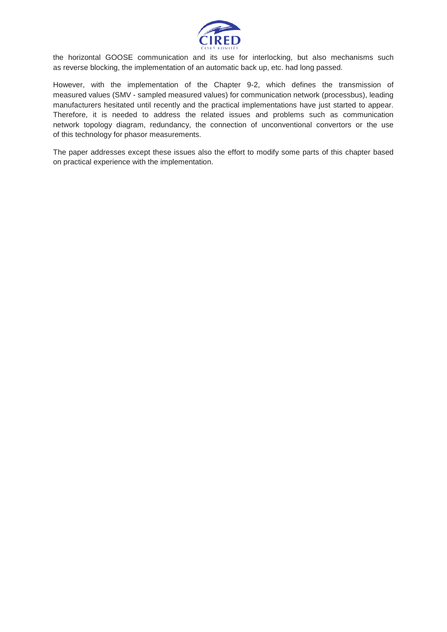

the horizontal GOOSE communication and its use for interlocking, but also mechanisms such as reverse blocking, the implementation of an automatic back up, etc. had long passed.

However, with the implementation of the Chapter 9-2, which defines the transmission of measured values (SMV - sampled measured values) for communication network (processbus), leading manufacturers hesitated until recently and the practical implementations have just started to appear. Therefore, it is needed to address the related issues and problems such as communication network topology diagram, redundancy, the connection of unconventional convertors or the use of this technology for phasor measurements.

The paper addresses except these issues also the effort to modify some parts of this chapter based on practical experience with the implementation.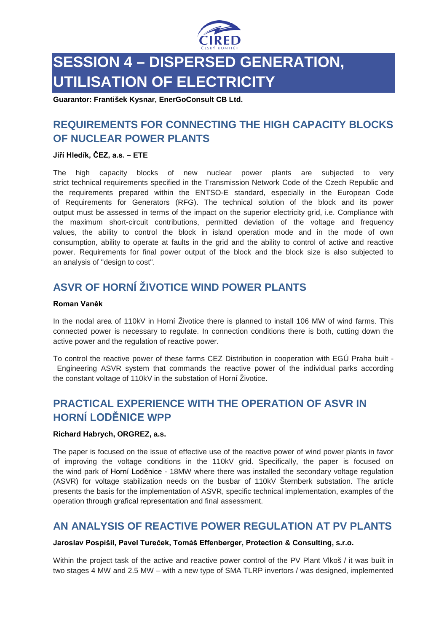

## **SESSION 4 – DISPERSED GENERATION, UTILISATION OF ELECTRICITY**

**Guarantor: František Kysnar, EnerGoConsult CB Ltd.**

### **REQUIREMENTS FOR CONNECTING THE HIGH CAPACITY BLOCKS OF NUCLEAR POWER PLANTS**

#### **Jiří Hledík, ČEZ, a.s. – ETE**

The high capacity blocks of new nuclear power plants are subjected to very strict technical requirements specified in the Transmission Network Code of the Czech Republic and the requirements prepared within the ENTSO-E standard, especially in the European Code of Requirements for Generators (RFG). The technical solution of the block and its power output must be assessed in terms of the impact on the superior electricity grid, i.e. Compliance with the maximum short-circuit contributions, permitted deviation of the voltage and frequency values, the ability to control the block in island operation mode and in the mode of own consumption, ability to operate at faults in the grid and the ability to control of active and reactive power. Requirements for final power output of the block and the block size is also subjected to an analysis of "design to cost".

### **ASVR OF HORNÍ ŽIVOTICE WIND POWER PLANTS**

#### **Roman Vaněk**

In the nodal area of 110kV in Horní Životice there is planned to install 106 MW of wind farms. This connected power is necessary to regulate. In connection conditions there is both, cutting down the active power and the regulation of reactive power.

To control the reactive power of these farms CEZ Distribution in cooperation with EGÚ Praha built - Engineering ASVR system that commands the reactive power of the individual parks according the constant voltage of 110kV in the substation of Horní Životice.

### **PRACTICAL EXPERIENCE WITH THE OPERATION OF ASVR IN HORNÍ LODĚNICE WPP**

#### **Richard Habrych, ORGREZ, a.s.**

The paper is focused on the issue of effective use of the reactive power of wind power plants in favor of improving the voltage conditions in the 110kV grid. Specifically, the paper is focused on the wind park of Horní Loděnice - 18MW where there was installed the secondary voltage regulation (ASVR) for voltage stabilization needs on the busbar of 110kV Šternberk substation. The article presents the basis for the implementation of ASVR, specific technical implementation, examples of the operation through grafical representation and final assessment.

### **AN ANALYSIS OF REACTIVE POWER REGULATION AT PV PLANTS**

#### **Jaroslav Pospíšil, Pavel Tureček, Tomáš Effenberger, Protection & Consulting, s.r.o.**

Within the project task of the active and reactive power control of the PV Plant Vlkoš / it was built in two stages 4 MW and 2.5 MW – with a new type of SMA TLRP invertors / was designed, implemented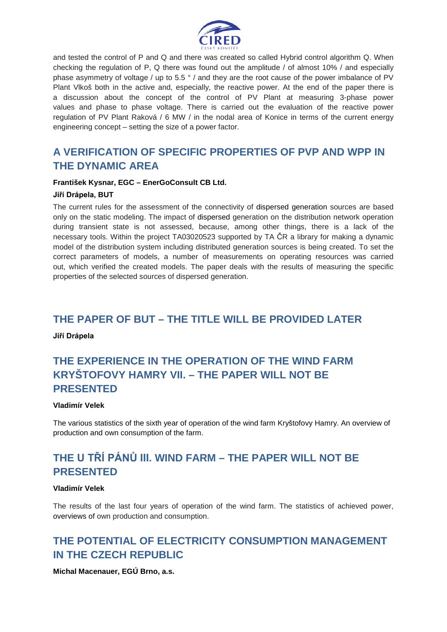

and tested the control of P and Q and there was created so called Hybrid control algorithm Q. When checking the regulation of P, Q there was found out the amplitude / of almost 10% / and especially phase asymmetry of voltage / up to 5.5 ° / and they are the root cause of the power imbalance of PV Plant Vlkoš both in the active and, especially, the reactive power. At the end of the paper there is a discussion about the concept of the control of PV Plant at measuring 3-phase power values and phase to phase voltage. There is carried out the evaluation of the reactive power regulation of PV Plant Raková / 6 MW / in the nodal area of Konice in terms of the current energy engineering concept – setting the size of a power factor.

### **A VERIFICATION OF SPECIFIC PROPERTIES OF PVP AND WPP IN THE DYNAMIC AREA**

#### **František Kysnar, EGC – EnerGoConsult CB Ltd.**

#### **Jiří Drápela, BUT**

The current rules for the assessment of the connectivity of dispersed generation sources are based only on the static modeling. The impact of dispersed generation on the distribution network operation during transient state is not assessed, because, among other things, there is a lack of the necessary tools. Within the project TA03020523 supported by TA ČR a library for making a dynamic model of the distribution system including distributed generation sources is being created. To set the correct parameters of models, a number of measurements on operating resources was carried out, which verified the created models. The paper deals with the results of measuring the specific properties of the selected sources of dispersed generation.

### **THE PAPER OF BUT – THE TITLE WILL BE PROVIDED LATER**

**Jiří Drápela**

### **THE EXPERIENCE IN THE OPERATION OF THE WIND FARM KRYŠTOFOVY HAMRY VII. – THE PAPER WILL NOT BE PRESENTED**

#### **Vladimír Velek**

The various statistics of the sixth year of operation of the wind farm Kryštofovy Hamry. An overview of production and own consumption of the farm.

### **THE U TŘÍ PÁNŮ III. WIND FARM – THE PAPER WILL NOT BE PRESENTED**

#### **Vladimír Velek**

The results of the last four years of operation of the wind farm. The statistics of achieved power, overviews of own production and consumption.

### **THE POTENTIAL OF ELECTRICITY CONSUMPTION MANAGEMENT IN THE CZECH REPUBLIC**

**Michal Macenauer, EGÚ Brno, a.s.**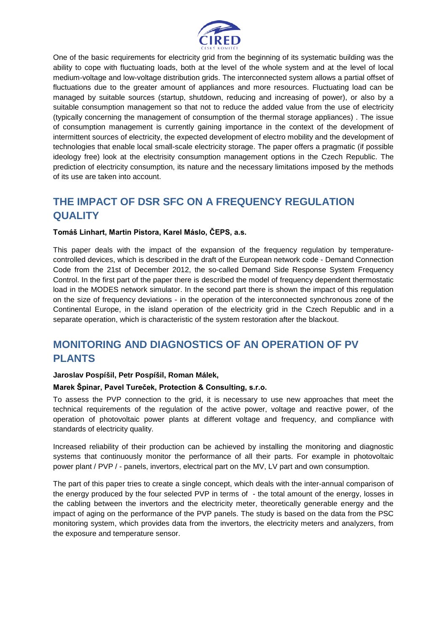

One of the basic requirements for electricity grid from the beginning of its systematic building was the ability to cope with fluctuating loads, both at the level of the whole system and at the level of local medium-voltage and low-voltage distribution grids. The interconnected system allows a partial offset of fluctuations due to the greater amount of appliances and more resources. Fluctuating load can be managed by suitable sources (startup, shutdown, reducing and increasing of power), or also by a suitable consumption management so that not to reduce the added value from the use of electricity (typically concerning the management of consumption of the thermal storage appliances) . The issue of consumption management is currently gaining importance in the context of the development of intermittent sources of electricity, the expected development of electro mobility and the development of technologies that enable local small-scale electricity storage. The paper offers a pragmatic (if possible ideology free) look at the electrisity consumption management options in the Czech Republic. The prediction of electricity consumption, its nature and the necessary limitations imposed by the methods of its use are taken into account.

### **THE IMPACT OF DSR SFC ON A FREQUENCY REGULATION QUALITY**

#### **Tomáš Linhart, Martin Pistora, Karel Máslo, ČEPS, a.s.**

This paper deals with the impact of the expansion of the frequency regulation by temperaturecontrolled devices, which is described in the draft of the European network code - Demand Connection Code from the 21st of December 2012, the so-called Demand Side Response System Frequency Control. In the first part of the paper there is described the model of frequency dependent thermostatic load in the MODES network simulator. In the second part there is shown the impact of this regulation on the size of frequency deviations - in the operation of the interconnected synchronous zone of the Continental Europe, in the island operation of the electricity grid in the Czech Republic and in a separate operation, which is characteristic of the system restoration after the blackout.

### **MONITORING AND DIAGNOSTICS OF AN OPERATION OF PV PLANTS**

#### **Jaroslav Pospíšil, Petr Pospíšil, Roman Málek,**

#### **Marek Špinar, Pavel Tureček, Protection & Consulting, s.r.o.**

To assess the PVP connection to the grid, it is necessary to use new approaches that meet the technical requirements of the regulation of the active power, voltage and reactive power, of the operation of photovoltaic power plants at different voltage and frequency, and compliance with standards of electricity quality.

Increased reliability of their production can be achieved by installing the monitoring and diagnostic systems that continuously monitor the performance of all their parts. For example in photovoltaic power plant / PVP / - panels, invertors, electrical part on the MV, LV part and own consumption.

The part of this paper tries to create a single concept, which deals with the inter-annual comparison of the energy produced by the four selected PVP in terms of - the total amount of the energy, losses in the cabling between the invertors and the electricity meter, theoretically generable energy and the impact of aging on the performance of the PVP panels. The study is based on the data from the PSC monitoring system, which provides data from the invertors, the electricity meters and analyzers, from the exposure and temperature sensor.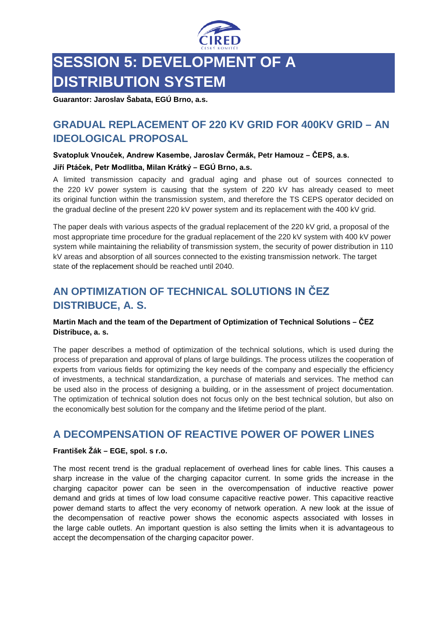

## **SESSION 5: DEVELOPMENT OF A DISTRIBUTION SYSTEM**

**Guarantor: Jaroslav Šabata, EGÚ Brno, a.s.**

### **GRADUAL REPLACEMENT OF 220 KV GRID FOR 400KV GRID – AN IDEOLOGICAL PROPOSAL**

#### **Svatopluk Vnouček, Andrew Kasembe, Jaroslav Čermák, Petr Hamouz – ČEPS, a.s.**

#### **Jiří Ptáček, Petr Modlitba, Milan Krátký – EGÚ Brno, a.s.**

A limited transmission capacity and gradual aging and phase out of sources connected to the 220 kV power system is causing that the system of 220 kV has already ceased to meet its original function within the transmission system, and therefore the TS CEPS operator decided on the gradual decline of the present 220 kV power system and its replacement with the 400 kV grid.

The paper deals with various aspects of the gradual replacement of the 220 kV grid, a proposal of the most appropriate time procedure for the gradual replacement of the 220 kV system with 400 kV power system while maintaining the reliability of transmission system, the security of power distribution in 110 kV areas and absorption of all sources connected to the existing transmission network. The target state of the replacement should be reached until 2040.

### **AN OPTIMIZATION OF TECHNICAL SOLUTIONS IN ČEZ DISTRIBUCE, A. S.**

#### **Martin Mach and the team of the Department of Optimization of Technical Solutions – ČEZ Distribuce, a. s.**

The paper describes a method of optimization of the technical solutions, which is used during the process of preparation and approval of plans of large buildings. The process utilizes the cooperation of experts from various fields for optimizing the key needs of the company and especially the efficiency of investments, a technical standardization, a purchase of materials and services. The method can be used also in the process of designing a building, or in the assessment of project documentation. The optimization of technical solution does not focus only on the best technical solution, but also on the economically best solution for the company and the lifetime period of the plant.

### **A DECOMPENSATION OF REACTIVE POWER OF POWER LINES**

#### **František Žák – EGE, spol. s r.o.**

The most recent trend is the gradual replacement of overhead lines for cable lines. This causes a sharp increase in the value of the charging capacitor current. In some grids the increase in the charging capacitor power can be seen in the overcompensation of inductive reactive power demand and grids at times of low load consume capacitive reactive power. This capacitive reactive power demand starts to affect the very economy of network operation. A new look at the issue of the decompensation of reactive power shows the economic aspects associated with losses in the large cable outlets. An important question is also setting the limits when it is advantageous to accept the decompensation of the charging capacitor power.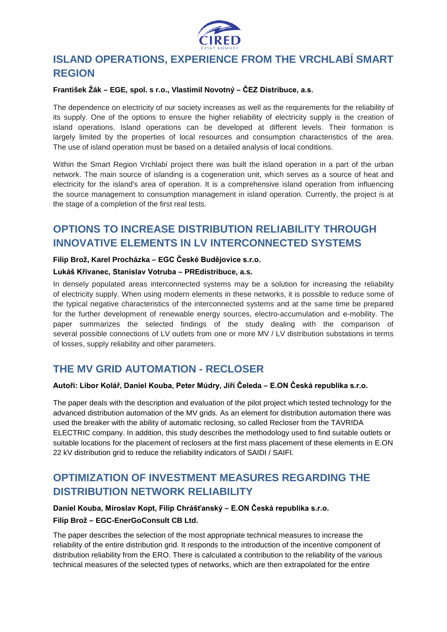

### **ISLAND OPERATIONS, EXPERIENCE FROM THE VRCHLABÍ SMART REGION**

#### **František Žák – EGE, spol. s r.o., Vlastimil Novotný – ČEZ Distribuce, a.s.**

The dependence on electricity of our society increases as well as the requirements for the reliability of its supply. One of the options to ensure the higher reliability of electricity supply is the creation of island operations. Island operations can be developed at different levels. Their formation is largely limited by the properties of local resources and consumption characteristics of the area. The use of island operation must be based on a detailed analysis of local conditions.

Within the Smart Region Vrchlabí project there was built the island operation in a part of the urban network. The main source of islanding is a cogeneration unit, which serves as a source of heat and electricity for the island's area of operation. It is a comprehensive island operation from influencing the source management to consumption management in island operation. Currently, the project is at the stage of a completion of the first real tests.

### **OPTIONS TO INCREASE DISTRIBUTION RELIABILITY THROUGH INNOVATIVE ELEMENTS IN LV INTERCONNECTED SYSTEMS**

#### **Filip Brož, Karel Procházka – EGC České Budějovice s.r.o.**

#### **Lukáš Křivanec, Stanislav Votruba – PREdistribuce, a.s.**

In densely populated areas interconnected systems may be a solution for increasing the reliability of electricity supply. When using modern elements in these networks, it is possible to reduce some of the typical negative characteristics of the interconnected systems and at the same time be prepared for the further development of renewable energy sources, electro-accumulation and e-mobility. The paper summarizes the selected findings of the study dealing with the comparison of several possible connections of LV outlets from one or more MV / LV distribution substations in terms of losses, supply reliability and other parameters.

### **THE MV GRID AUTOMATION - RECLOSER**

#### **Autoři: Libor Kolář, Daniel Kouba, Peter Múdry, Jiří Čeleda – E.ON Česká republika s.r.o.**

The paper deals with the description and evaluation of the pilot project which tested technology for the advanced distribution automation of the MV grids. As an element for distribution automation there was used the breaker with the ability of automatic reclosing, so called Recloser from the TAVRIDA ELECTRIC company. In addition, this study describes the methodology used to find suitable outlets or suitable locations for the placement of reclosers at the first mass placement of these elements in E.ON 22 kV distribution grid to reduce the reliability indicators of SAIDI / SAIFI.

### **OPTIMIZATION OF INVESTMENT MEASURES REGARDING THE DISTRIBUTION NETWORK RELIABILITY**

### **Daniel Kouba, Miroslav Kopt, Filip Chrášťanský – E.ON Česká republika s.r.o. Filip Brož – EGC-EnerGoConsult CB Ltd.**

The paper describes the selection of the most appropriate technical measures to increase the reliability of the entire distribution grid. It responds to the introduction of the incentive component of distribution reliability from the ERO. There is calculated a contribution to the reliability of the various technical measures of the selected types of networks, which are then extrapolated for the entire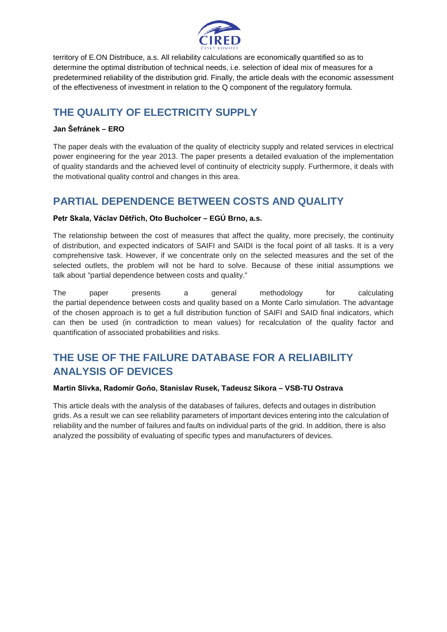

territory of E.ON Distribuce, a.s. All reliability calculations are economically quantified so as to determine the optimal distribution of technical needs, i.e. selection of ideal mix of measures for a predetermined reliability of the distribution grid. Finally, the article deals with the economic assessment of the effectiveness of investment in relation to the Q component of the regulatory formula.

### **THE QUALITY OF ELECTRICITY SUPPLY**

#### **Jan Šefránek – ERO**

The paper deals with the evaluation of the quality of electricity supply and related services in electrical power engineering for the year 2013. The paper presents a detailed evaluation of the implementation of quality standards and the achieved level of continuity of electricity supply. Furthermore, it deals with the motivational quality control and changes in this area.

### **PARTIAL DEPENDENCE BETWEEN COSTS AND QUALITY**

#### **Petr Skala, Václav Dětřich, Oto Bucholcer – EGÚ Brno, a.s.**

The relationship between the cost of measures that affect the quality, more precisely, the continuity of distribution, and expected indicators of SAIFI and SAIDI is the focal point of all tasks. It is a very comprehensive task. However, if we concentrate only on the selected measures and the set of the selected outlets, the problem will not be hard to solve. Because of these initial assumptions we talk about "partial dependence between costs and quality."

The paper presents a general methodology for calculating the partial dependence between costs and quality based on a Monte Carlo simulation. The advantage of the chosen approach is to get a full distribution function of SAIFI and SAID final indicators, which can then be used (in contradiction to mean values) for recalculation of the quality factor and quantification of associated probabilities and risks.

### **THE USE OF THE FAILURE DATABASE FOR A RELIABILITY ANALYSIS OF DEVICES**

#### **Martin Slivka, Radomír Goňo, Stanislav Rusek, Tadeusz Sikora – VSB-TU Ostrava**

This article deals with the analysis of the databases of failures, defects and outages in distribution grids. As a result we can see reliability parameters of important devices entering into the calculation of reliability and the number of failures and faults on individual parts of the grid. In addition, there is also analyzed the possibility of evaluating of specific types and manufacturers of devices.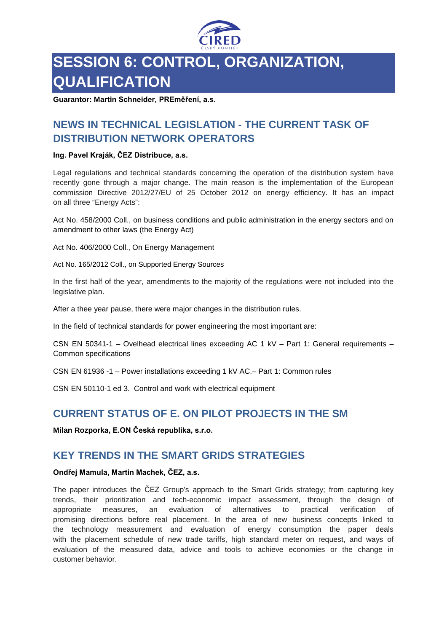

## **SESSION 6: CONTROL, ORGANIZATION, QUALIFICATION**

**Guarantor: Martin Schneider, PREměření, a.s.**

### **NEWS IN TECHNICAL LEGISLATION - THE CURRENT TASK OF DISTRIBUTION NETWORK OPERATORS**

#### **Ing. Pavel Kraják, ČEZ Distribuce, a.s.**

Legal regulations and technical standards concerning the operation of the distribution system have recently gone through a major change. The main reason is the implementation of the European commission Directive 2012/27/EU of 25 October 2012 on energy efficiency. It has an impact on all three "Energy Acts":

Act No. 458/2000 Coll., on business conditions and public administration in the energy sectors and on amendment to other laws (the Energy Act)

Act No. 406/2000 Coll., On Energy Management

Act No. 165/2012 Coll., on Supported Energy Sources

In the first half of the year, amendments to the majority of the regulations were not included into the legislative plan.

After a thee year pause, there were major changes in the distribution rules.

In the field of technical standards for power engineering the most important are:

CSN EN 50341-1 – Ovelhead electrical lines exceeding AC 1 kV – Part 1: General requirements – Common specifications

CSN EN 61936 -1 – Power installations exceeding 1 kV AC.– Part 1: Common rules

CSN EN 50110-1 ed 3. Control and work with electrical equipment

### **CURRENT STATUS OF E. ON PILOT PROJECTS IN THE SM**

**Milan Rozporka, E.ON Česká republika, s.r.o.**

### **KEY TRENDS IN THE SMART GRIDS STRATEGIES**

#### **Ondřej Mamula, Martin Machek, ČEZ, a.s.**

The paper introduces the ČEZ Group's approach to the Smart Grids strategy; from capturing key trends, their prioritization and tech-economic impact assessment, through the design of appropriate measures, an evaluation of alternatives to practical verification of promising directions before real placement. In the area of new business concepts linked to the technology measurement and evaluation of energy consumption the paper deals with the placement schedule of new trade tariffs, high standard meter on request, and ways of evaluation of the measured data, advice and tools to achieve economies or the change in customer behavior.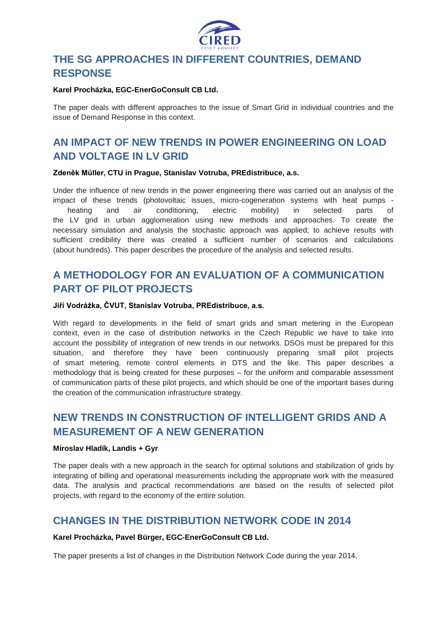

### **THE SG APPROACHES IN DIFFERENT COUNTRIES, DEMAND RESPONSE**

#### **Karel Procházka, EGC-EnerGoConsult CB Ltd.**

The paper deals with different approaches to the issue of Smart Grid in individual countries and the issue of Demand Response in this context.

### **AN IMPACT OF NEW TRENDS IN POWER ENGINEERING ON LOAD AND VOLTAGE IN LV GRID**

#### **Zdeněk Müller, CTU in Prague, Stanislav Votruba, PREdistribuce, a.s.**

Under the influence of new trends in the power engineering there was carried out an analysis of the impact of these trends (photovoltaic issues, micro-cogeneration systems with heat pumps heating and air conditioning, electric mobility) in selected parts of the LV grid in urban agglomeration using new methods and approaches. To create the necessary simulation and analysis the stochastic approach was applied; to achieve results with sufficient credibility there was created a sufficient number of scenarios and calculations (about hundreds). This paper describes the procedure of the analysis and selected results.

### **A METHODOLOGY FOR AN EVALUATION OF A COMMUNICATION PART OF PILOT PROJECTS**

#### **Jiří Vodrážka, ČVUT, Stanislav Votruba, PREdistribuce, a.s.**

With regard to developments in the field of smart grids and smart metering in the European context, even in the case of distribution networks in the Czech Republic we have to take into account the possibility of integration of new trends in our networks. DSOs must be prepared for this situation, and therefore they have been continuously preparing small pilot projects of smart metering, remote control elements in DTS and the like. This paper describes a methodology that is being created for these purposes – for the uniform and comparable assessment of communication parts of these pilot projects, and which should be one of the important bases during the creation of the communication infrastructure strategy.

### **NEW TRENDS IN CONSTRUCTION OF INTELLIGENT GRIDS AND A MEASUREMENT OF A NEW GENERATION**

#### **Miroslav Hladík, Landis + Gyr**

The paper deals with a new approach in the search for optimal solutions and stabilization of grids by integrating of billing and operational measurements including the appropriate work with the measured data. The analysis and practical recommendations are based on the results of selected pilot projects, with regard to the economy of the entire solution.

### **CHANGES IN THE DISTRIBUTION NETWORK CODE IN 2014**

#### **Karel Procházka, Pavel Bürger, EGC-EnerGoConsult CB Ltd.**

The paper presents a list of changes in the Distribution Network Code during the year 2014.